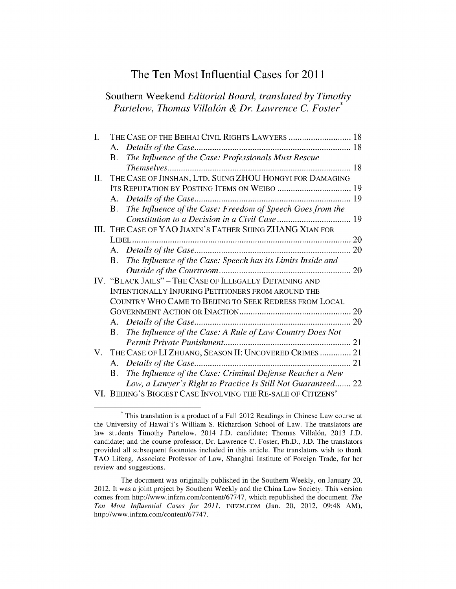# The Ten Most Influential Cases for 2011

Southern Weekend *Editorial Board, translated by Timothy Partelow, Thomas Villalon* & *Dr. Lawrence* C. *Foster\** 

| L.  |             | THE CASE OF THE BEIHAI CIVIL RIGHTS LAWYERS  18               |    |
|-----|-------------|---------------------------------------------------------------|----|
|     |             |                                                               |    |
|     | B.          | The Influence of the Case: Professionals Must Rescue          |    |
|     |             |                                                               | 18 |
| II. |             | THE CASE OF JINSHAN, LTD. SUING ZHOU HONGYI FOR DAMAGING      |    |
|     |             | ITS REPUTATION BY POSTING ITEMS ON WEIBO  19                  |    |
|     | $A_{\cdot}$ |                                                               | 19 |
|     | <b>B.</b>   | The Influence of the Case: Freedom of Speech Goes from the    |    |
|     |             |                                                               |    |
|     |             | III. THE CASE OF YAO JIAXIN'S FATHER SUING ZHANG XIAN FOR     |    |
|     |             |                                                               |    |
|     |             |                                                               |    |
|     | <b>B.</b>   | The Influence of the Case: Speech has its Limits Inside and   |    |
|     |             |                                                               |    |
|     |             | IV. "BLACK JAILS" - THE CASE OF ILLEGALLY DETAINING AND       |    |
|     |             | INTENTIONALLY INJURING PETITIONERS FROM AROUND THE            |    |
|     |             | COUNTRY WHO CAME TO BEIJING TO SEEK REDRESS FROM LOCAL        |    |
|     |             |                                                               |    |
|     |             |                                                               | 20 |
|     | B.          | The Influence of the Case: A Rule of Law Country Does Not     |    |
|     |             |                                                               |    |
| V.  |             | THE CASE OF LI ZHUANG, SEASON II: UNCOVERED CRIMES 21         |    |
|     | A.          |                                                               | 21 |
|     | <b>B</b> .  | The Influence of the Case: Criminal Defense Reaches a New     |    |
|     |             | Low, a Lawyer's Right to Practice Is Still Not Guaranteed 22  |    |
|     |             | VI. BEIJING'S BIGGEST CASE INVOLVING THE RE-SALE OF CITIZENS' |    |

<sup>\*</sup> This translation is a product of a Fall 2012 Readings in Chinese Law course at the University of Hawai'i's William S. Richardson School of Law. The translators are law students Timothy Partelow, 2014 J.D. candidate; Thomas Villalón, 2013 J.D. candidate; and the course professor, Dr. Lawrence C. Foster, Ph.D., J.D. The translators provided all subsequent footnotes included in this article. The translators wish to thank TAO Lifeng, Associate Professor of Law, Shanghai Institute of Foreign Trade, for her review and suggestions.

The document was originally published in the Southern Weekly, on January 20, 2012. It was a joint project by Southern Weekly and the China Law Society. This version comes from http://www.infzm.com/contentl67747. which republished the document. *The Ten Most Influential Cases for 2011,* INFZM.COM (Jan. 20, 2012, 09:48 AM), http://www.infzm.com/content/67747.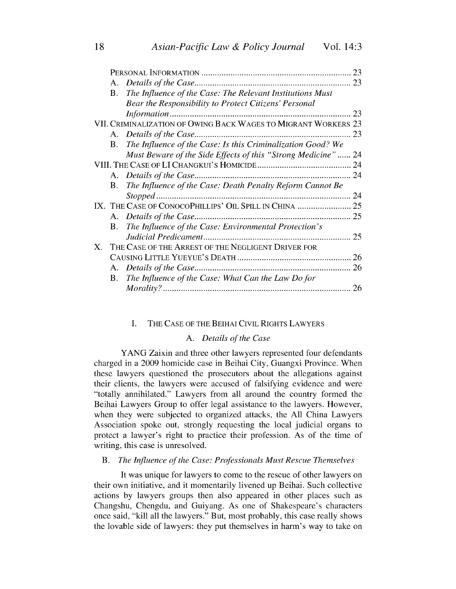|    |           |                                                                | 23 |
|----|-----------|----------------------------------------------------------------|----|
|    | A.        |                                                                | 23 |
|    | В.        | The Influence of the Case: The Relevant Institutions Must      |    |
|    |           | Bear the Responsibility to Protect Citizens' Personal          |    |
|    |           |                                                                | 23 |
|    |           | VII. Criminalization of Owing Back Wages to Migrant Workers 23 |    |
|    |           |                                                                | 23 |
|    | B.        | The Influence of the Case: Is this Criminalization Good? We    |    |
|    |           | Must Beware of the Side Effects of this "Strong Medicine"  24  |    |
|    |           |                                                                |    |
|    |           |                                                                | 24 |
|    | <b>B.</b> | The Influence of the Case: Death Penalty Reform Cannot Be      |    |
|    |           |                                                                | 24 |
|    |           | IX. THE CASE OF CONOCOPHILLIPS' OIL SPILL IN CHINA             | 25 |
|    |           |                                                                | 25 |
|    | В.        | The Influence of the Case: Environmental Protection's          |    |
|    |           |                                                                | 25 |
| X. |           | THE CASE OF THE ARREST OF THE NEGLIGENT DRIVER FOR             |    |
|    |           |                                                                | 26 |
|    |           |                                                                | 26 |
|    |           | B. The Influence of the Case: What Can the Law Do for          |    |
|    |           |                                                                | 26 |

#### I. THE CASE OF THE BEIHAI CIVIL RIGHTS LAWYERS

#### A. *Details of the Case*

YANG Zaixin and three other lawyers represented four defendants charged in a 2009 homicide case in Beihai City, Guangxi Province. When these lawyers questioned the prosecutors about the allegations against their clients, the lawyers were accused of falsifying evidence and were "totally annihilated." Lawyers from all around the country formed the Beihai Lawyers Group to offer legal assistance to the lawyers. However, when they were subjected to organized attacks, the All China Lawyers Association spoke out, strongly requesting the local judicial organs to protect a lawyer's right to practice their profession. As of the time of writing, this case is unresolved.

# B. *The Influence of the Case: Professionals Must Rescue Themselves*

It was unique for lawyers to come to the rescue of other lawyers on their own initiative, and it momentarily livened up Beihai. Such collective actions by lawyers groups then also appeared in other places such as Changshu, Chengdu, and Guiyang. As one of Shakespeare's characters once said, "kill all the lawyers." But, most probably, this case really shows the lovable side of lawyers: they put themselves in harm's way to take on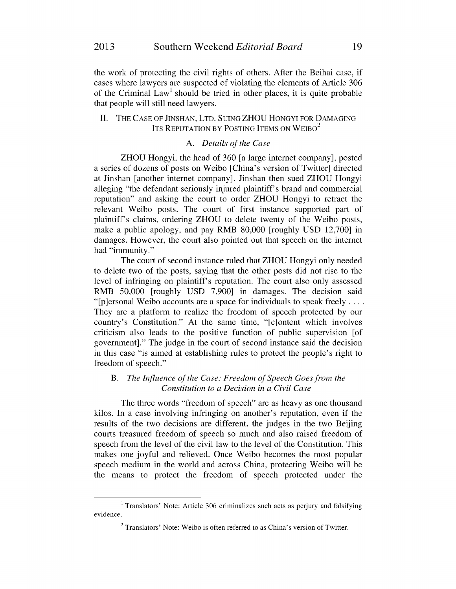the work of protecting the civil rights of others. After the Beihai case, if cases where lawyers are suspected of violating the elements of Article 306 of the Criminal Law<sup>1</sup> should be tried in other places, it is quite probable that people will still need lawyers.

# **II.** THE CASE OF JINSHAN, LTD. SUING ZHOU HONGYI FOR DAMAGING ITS REPUTATION BY POSTING ITEMS ON WEIBO<sup>2</sup>

### A. *Details of the Case*

ZHOU Hongyi, the head of 360 [a large internet company], posted a series of dozens of posts on Weibo [China's version of Twitter] directed at linshan [another internet company]. linshan then sued ZHOU Hongyi alleging "the defendant seriously injured plaintiff's brand and commercial reputation" and asking the court to order ZHOU Hongyi to retract the relevant Weibo posts. The court of first instance supported part of plaintiff's claims, ordering ZHOU to delete twenty of the Weibo posts, make a public apology, and pay RMB 80,000 [roughly USD 12,700] in damages. However, the court also pointed out that speech on the internet had "immunity."

The court of second instance ruled that ZHOU Hongyi only needed to delete two of the posts, saying that the other posts did not rise to the level of infringing on plaintiff's reputation. The court also only assessed RMB 50,000 [roughly USD 7,900] in damages. The decision said "[p]ersonal Weibo accounts are a space for individuals to speak freely .... They are a platform to realize the freedom of speech protected by our country's Constitution." At the same time, "[c]ontent which involves criticism also leads to the positive function of public supervision [of government]." The judge in the court of second instance said the decision in this case "is aimed at establishing rules to protect the people's right to freedom of speech."

# B. *The Influence of the Case: Freedom of Speech Goes from the Constitution to a Decision in a Civil Case*

The three words "freedom of speech" are as heavy as one thousand kilos. In a case involving infringing on another's reputation, even if the results of the two decisions are different, the judges in the two Beijing courts treasured freedom of speech so much and also raised freedom of speech from the level of the civil law to the level of the Constitution. This makes one joyful and relieved. Once Weibo becomes the most popular speech medium in the world and across China, protecting Weibo will be the means to protect the freedom of speech protected under the

 $1$  Translators' Note: Article 306 criminalizes such acts as perjury and falsifying evidence.

 $2$  Translators' Note: Weibo is often referred to as China's version of Twitter.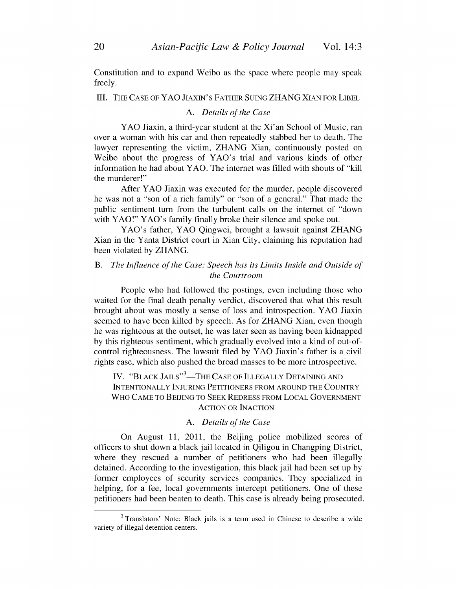Constitution and to expand Weibo as the space where people may speak freely.

#### III. THE CASE OF YAO JIAXIN'S FATHER SUING ZHANG XIAN FOR LIBEL

# A. *Details of the Case*

YAO Jiaxin, a third-year student at the Xi'an School of Music, ran over a woman with his car and then repeatedly stabbed her to death. The lawyer representing the victim, ZHANG Xian, continuously posted on Weibo about the progress of YAO's trial and various kinds of other information he had about YAO. The internet was filled with shouts of "kill the murderer!"

After YAO Jiaxin was executed for the murder, people discovered he was not a "son of a rich family" or "son of a general." That made the public sentiment turn from the turbulent calls on the internet of "down with YAO!" YAO's family finally broke their silence and spoke out.

YAO's father, YAO Qingwei, brought a lawsuit against ZHANG Xian in the Yanta District court in Xian City, claiming his reputation had been violated by ZHANG.

# B. *The Influence of the Case: Speech has its Limits Inside and Outside of the Courtroom*

People who had followed the postings, even including those who waited for the final death penalty verdict, discovered that what this result brought about was mostly a sense of loss and introspection. Y AO Jiaxin seemed to have been killed by speech. As for ZHANG Xian, even though he was righteous at the outset, he was later seen as having been kidnapped by this righteous sentiment, which gradually evolved into a kind of out-ofcontrol righteousness. The lawsuit filed by YAO Jiaxin's father is a civil rights case, which also pushed the broad masses to be more introspective.

IV. "BLACK JAILS"<sup>3</sup>—THE CASE OF ILLEGALLY DETAINING AND INTENTIONALLY INJURING PETITIONERS FROM AROUND THE COUNTRY WHO CAME TO BEIJING TO SEEK REDRESS FROM LOCAL GOVERNMENT ACTION OR INACTION

# A. *Details of the Case*

On August 11, 2011, the Beijing police mobilized scores of officers to shut down a black jail located in Qiligou in Changping District, where they rescued a number of petitioners who had been illegally detained. According to the investigation, this black jail had been set up by former employees of security services companies. They specialized in helping, for a fee, local governments intercept petitioners. One of these petitioners had been beaten to death. This case is already being prosecuted.

<sup>3</sup> Translators' Note: Black jails is a term used in Chinese to describe a wide variety of illegal detention centers.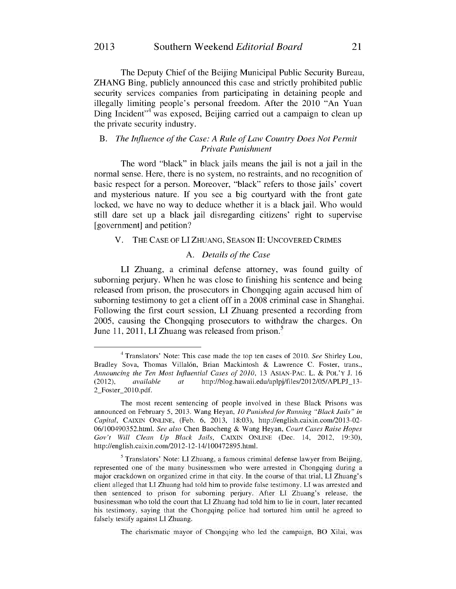The Deputy Chief of the Beijing Municipal Public Security Bureau, ZHANG Bing, publicly announced this case and strictly prohibited public security services companies from participating in detaining people and illegally limiting people's personal freedom. After the 2010 "An Yuan Ding Incident<sup> $,4$ </sup> was exposed, Beijing carried out a campaign to clean up the private security industry.

# B. *The Influence of the Case: A Rule of Law Country Does Not Permit Private Punishment*

The word "black" in black jails means the jail is not a jail in the normal sense. Here, there is no system, no restraints, and no recognition of basic respect for a person. Moreover, "black" refers to those jails' covert and mysterious nature. If you see a big courtyard with the front gate locked, we have no way to deduce whether it is a black jail. Who would still dare set up a black jail disregarding citizens' right to supervise [government] and petition?

#### V. THE CASE OF LIZHUANG, SEASON II: UNCOVERED CRIMES

# A. *Details of the Case*

LI Zhuang, a criminal defense attorney, was found guilty of suborning perjury. When he was close to finishing his sentence and being released from prison, the prosecutors in Chongqing again accused him of suborning testimony to get a client off in a 2008 criminal case in Shanghai. Following the first court session, LI Zhuang presented a recording from 2005, causing the Chongqing prosecutors to withdraw the charges. On June 11, 2011, LI Zhuang was released from prison.<sup>5</sup>

<sup>4</sup> Translators' Note: This case made the top ten cases of 2010. *See* Shirley Lou, Bradley Sova, Thomas Villalón, Brian Mackintosh & Lawrence C. Foster, trans., *Announcing the Ten Most Influential Cases of 2010,* 13 ASIAN-PAC. L. & POL'y J. 16 (2012), *available at* http://blog.hawaii.edu/aplpj/files/2012/05/APLPJ\_13-2\_Foster\_2010.pdf.

The most recent sentencing of people involved in these Black Prisons was announced on February 5, 2013. Wang Heyan, 10 *Punished for Running "Black fails" in Capital,* CAIXIN ONLINE, (Feb. 6, 2013, 18:03), http://english.caixin.com!2013-02- 06/100490352.html. *See also* Chen Baocheng & Wang Heyan, *Court Cases Raise Hopes Gov't Will Clean Up Black fails,* CAIXIN ONLINE (Dec. 14, 2012, 19:30), http://english.caixin.com/2012-12-14/100472895.html.

<sup>&</sup>lt;sup>5</sup> Translators' Note: LI Zhuang, a famous criminal defense lawyer from Beijing, represented one of the many businessmen who were arrested in Chongqing during a major crackdown on organized crime in that city. In the course of that trial, LI Zhuang's client alleged that LI Zhuang had told him to provide false testimony. LI was arrested and then sentenced to prison for suborning perjury. After LI Zhuang's release, the businessman who told the court that LI Zhuang had told him to lie in court, later recanted his testimony, saying that the Chongqing police had tortured him until he agreed to falsely testify against LI Zhuang.

The charismatic mayor of Chongqing who led the campaign, BO Xilai, was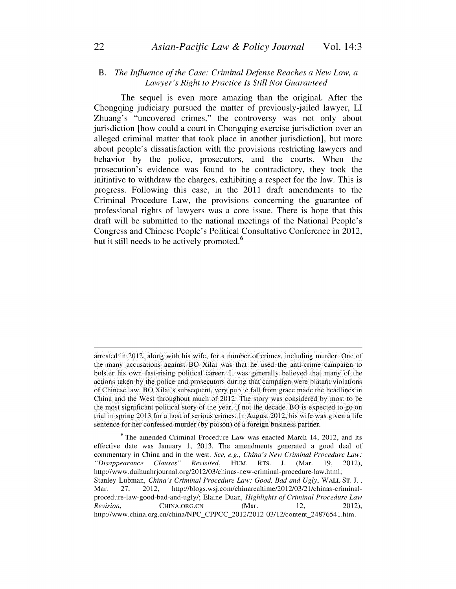### B. *The Influence of the Case: Criminal Defense Reaches a New Low, a Lawyer's Right to Practice Is Still Not Guaranteed*

The sequel is even more amazing than the original. After the Chongqing judiciary pursued the matter of previously-jailed lawyer, LI Zhuang's "uncovered crimes," the controversy was not only about jurisdiction [how could a court in Chongqing exercise jurisdiction over an alleged criminal matter that took place in another jurisdiction], but more about people's dissatisfaction with the provisions restricting lawyers and behavior by the police, prosecutors, and the courts. When the prosecution's evidence was found to be contradictory, they took the initiative to withdraw the charges, exhibiting a respect for the law. This is progress. Following this case, in the 2011 draft amendments to the Criminal Procedure Law, the provisions concerning the guarantee of professional rights of lawyers was a core issue. There is hope that this draft will be submitted to the national meetings of the National People's Congress and Chinese People's Political Consultative Conference in 2012, but it still needs to be actively promoted.<sup>6</sup>

arrested in 2012, along with his wife, for a number of crimes, including murder. One of the many accusations against BO Xilai was that he used the anti-crime campaign to bolster his own fast-rising political career. It was generally believed that many of the actions taken by the police and prosecutors during that campaign were blatant violations of Chinese law. BO Xilai's subsequent, very public fall from grace made the headlines in China and the West throughout much of 2012. The story was considered by most to be the most significant political story of the year, if not the decade. BO is expected to go on trial in spring 2013 for a host of serious crimes. In August 2012, his wife was given a life sentence for her confessed murder (by poison) of a foreign business partner.

 $6$  The amended Criminal Procedure Law was enacted March 14, 2012, and its effective date was January 1, 2013. The amendments generated a good deal of commentary in China and in the west. *See, e.g., China's New Criminal Procedure Law: "Disappearance Clauses" Revisited,* HUM. RTS. J. (Mar. 19, 2012), http://www.duihuahrjournal.org/2012/03/chinas-new-criminal-procedure-law.html; Stanley Lubman, *China's Criminal Procedure Law: Good, Bad and Ugly,* WALL ST. J., Mar. 27, 2012, http://blogs.wsj.com/chinarealtime/2012/03/21/chinas-criminalprocedure-law-good-bad-and-ugly/; Elaine Duan, *Highlights of Criminal Procedure Law Revision,* CHINA.ORG.CN (Mar. 12, 2012), http://www.china.org.cn/china/NPC\_CPPCC\_2012/2012-03/12/content\_24876541.htm.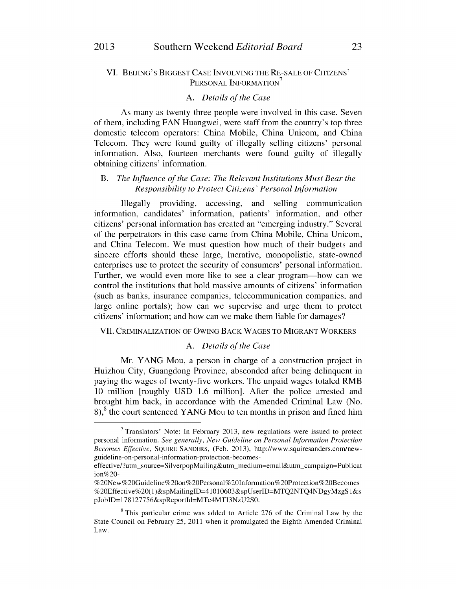# VI. BEIJING'S BIGGEST CASE INVOLVING THE RE-SALE OF CITIZENS' PERSONAL INFORMATION<sup>7</sup>

#### A. *Details of the Case*

As many as twenty-three people were involved in this case. Seven of them, including FAN Huangwei, were staff from the country's top three domestic telecom operators: China Mobile, China Unicom, and China Telecom. They were found guilty of illegally selling citizens' personal information. Also, fourteen merchants were found guilty of illegally obtaining citizens' information.

# B. *The Influence of the Case: The Relevant Institutions Must Bear the Responsibility to Protect Citizens' Personal Information*

Illegally providing, accessing, and selling communication information, candidates' information, patients' information, and other citizens' personal information has created an "emerging industry." Several of the perpetrators in this case came from China Mobile, China Unicom, and China Telecom. We must question how much of their budgets and sincere efforts should these large, lucrative, monopolistic, state-owned enterprises use to protect the security of consumers' personal information. Further, we would even more like to see a clear program—how can we control the institutions that hold massive amounts of citizens' information (such as banks, insurance companies, telecommunication companies, and large online portals); how can we supervise and urge them to protect citizens' information; and how can we make them liable for damages?

#### VII. CRIMINALIZATION OF OWING BACK WAGES TO MIGRANT WORKERS

#### A. *Details of the Case*

Mr. YANG Mou, a person in charge of a construction project in Huizhou City, Guangdong Province, absconded after being delinquent in paying the wages of twenty-five workers. The unpaid wages totaled RMB 10 million [roughly USD 1.6 million]. After the police arrested and brought him back, in accordance with the Amended Criminal Law (No.  $8$ <sup>8</sup>,<sup>8</sup> the court sentenced YANG Mou to ten months in prison and fined him

 $7$  Translators' Note: In February 2013, new regulations were issued to protect personal information. *See generally, New Guideline on Personal Information Protection Becomes Effective,* SQUIRE SANDERS, (Feb. 2013), http://www.squiresanders.com/newguideline-on -personal-information-protection -becomes-

effective/?utm\_source=SilverpopMailing&utm\_medium=email&utm\_campaign=Publicat ion%20-

<sup>%20</sup>New%20Guideline%20on%20Personal%20Information%20Protection%20Becomes %20Effective%20(1)&spMailingID=41010603&spUserID=MTQ2NTQ4NDgyMzgS1&s pJobID=178l27756&spReportId=MTc4MTI3NzU2S0.

<sup>8</sup> This particular crime was added to Article 276 of the Criminal Law by the State Council on February 25, 2011 when it promulgated the Eighth Amended Criminal Law.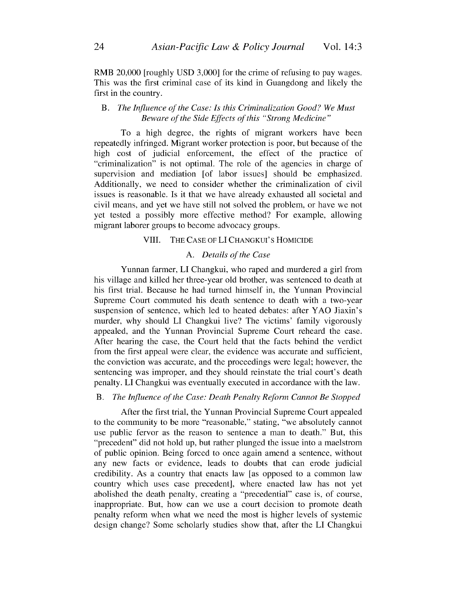RMB 20,000 [roughly USD 3,000] for the crime of refusing to pay wages. This was the first criminal case of its kind in Guangdong and likely the first in the country.

# B. *The Influence of the Case: Is this Criminalization Good? We Must Beware of the Side Effects of this "Strong Medicine"*

To a high degree, the rights of migrant workers have been repeatedly infringed. Migrant worker protection is poor, but because of the high cost of judicial enforcement, the effect of the practice of "criminalization" is not optimal. The role of the agencies in charge of supervision and mediation [of labor issues] should be emphasized. Additionally, we need to consider whether the criminalization of civil issues is reasonable. Is it that we have already exhausted all societal and civil means, and yet we have still not solved the problem, or have we not yet tested a possibly more effective method? For example, allowing migrant laborer groups to become advocacy groups.

# VIII. THE CASE OF LI CHANGKUI'S HOMICIDE

# A. *Details of the Case*

Yunnan farmer, LI Changkui, who raped and murdered a girl from his village and killed her three-year old brother, was sentenced to death at his first trial. Because he had turned himself in, the Yunnan Provincial Supreme Court commuted his death sentence to death with a two-year suspension of sentence, which led to heated debates: after YAO Jiaxin's murder, why should LI Changkui live? The victims' family vigorously appealed, and the Yunnan Provincial Supreme Court reheard the case. After hearing the case, the Court held that the facts behind the verdict from the first appeal were clear, the evidence was accurate and sufficient, the conviction was accurate, and the proceedings were legal; however, the sentencing was improper, and they should reinstate the trial court's death penalty. LI Changkui was eventually executed in accordance with the law.

### B. *The Influence of the Case: Death Penalty Reform Cannot Be Stopped*

After the first trial, the Yunnan Provincial Supreme Court appealed to the community to be more "reasonable," stating, "we absolutely cannot use public fervor as the reason to sentence a man to death." But, this "precedent" did not hold up, but rather plunged the issue into a maelstrom of public opinion. Being forced to once again amend a sentence, without any new facts or evidence, leads to doubts that can erode judicial credibility. As a country that enacts law [as opposed to a common law country which uses case precedent], where enacted law has not yet abolished the death penalty, creating a "precedential" case is, of course, inappropriate. But, how can we use a court decision to promote death penalty reform when what we need the most is higher levels of systemic design change? Some scholarly studies show that, after the LI Changkui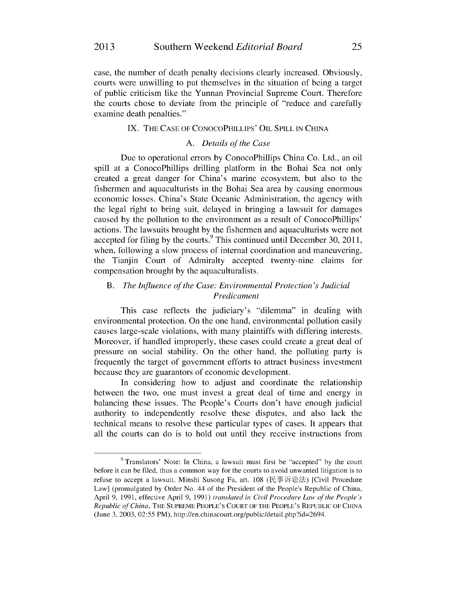case, the number of death penalty decisions clearly increased. Obviously, courts were unwilling to put themselves in the situation of being a target of public criticism like the Yunnan Provincial Supreme Court. Therefore the courts chose to deviate from the principle of "reduce and carefully examine death penalties."

#### IX. THE CASE OF CONOCOPHILLIPS' OIL SPILL IN CHINA

#### A. *Details of the Case*

Due to operational errors by ConocoPhillips China Co. Ltd., an oil spill at a ConocoPhillips drilling platform in the Bohai Sea not only created a great danger for China's marine ecosystem, but also to the fishermen and aquaculturists in the Bohai Sea area by causing enormous economic losses. China's State Oceanic Administration, the agency with the legal right to bring suit, delayed in bringing a lawsuit for damages caused by the pollution to the environment as a result of ConocoPhillips' actions. The lawsuits brought by the fishermen and aquaculturists were not accepted for filing by the courts. $\frac{9}{5}$  This continued until December 30, 2011, when, following a slow process of internal coordination and maneuvering, the Tianjin Court of Admiralty accepted twenty-nine claims for compensation brought by the aquaculturalists.

# B. *The Influence of the Case: Environmental Protection's Judicial Predicament*

This case reflects the judiciary's "dilemma" in dealing with environmental protection. On the one hand, environmental pollution easily causes large-scale violations, with many plaintiffs with differing interests. Moreover, if handled improperly, these cases could create a great deal of pressure on social stability. On the other hand, the polluting party is frequently the target of government efforts to attract business investment because they are guarantors of economic development.

In considering how to adjust and coordinate the relationship between the two, one must invest a great deal of time and energy in balancing these issues. The People's Courts don't have enough judicial authority to independently resolve these disputes, and also lack the technical means to resolve these particular types of cases. It appears that all the courts can do is to hold out until they receive instructions from

<sup>&</sup>lt;sup>9</sup> Translators' Note: In China, a lawsuit must first be "accepted" by the court before it can be filed, thus a common way for the courts to avoid unwanted litigation is to refuse to accept a lawsuit. Minshi Susong Fa, art. 108 (民事诉讼法) [Civil Procedure Law] (promulgated by Order No. 44 of the President of the People's Republic of China, April 9, 1991, effective April 9, 1991) *translated in Civil Procedure Law of the People's Republic of China,* THE SUPREME PEOPLE'S COURT OF THE PEOPLE'S REPUBLIC OF CHINA (June 3, 2003, 02:55 PM), http://en.chinacourt.org/public/detail.php?id=2694.